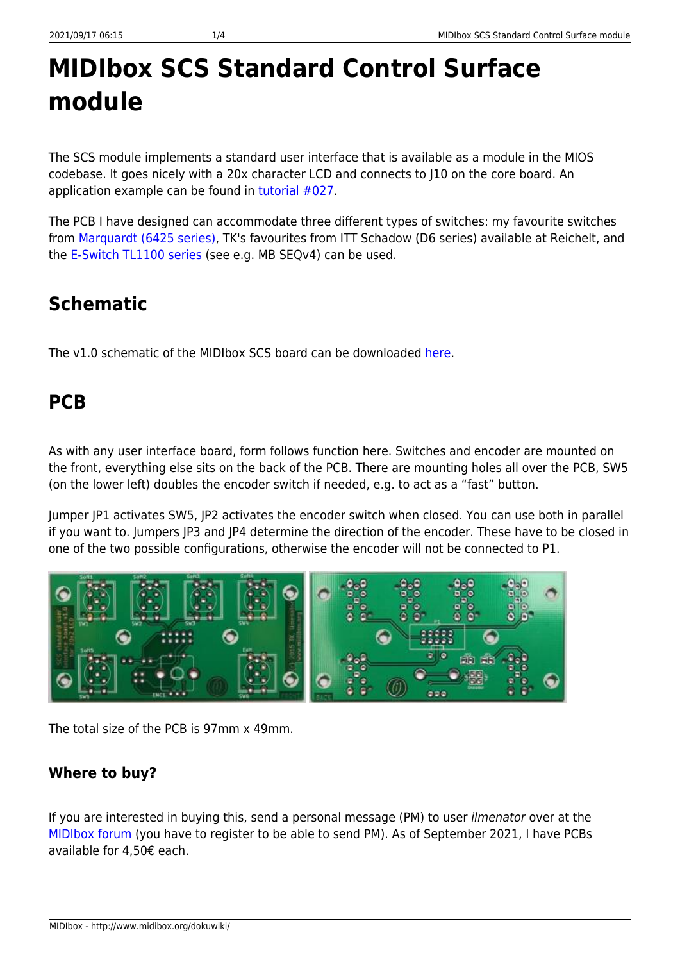# **MIDIbox SCS Standard Control Surface module**

The SCS module implements a standard user interface that is available as a module in the MIOS codebase. It goes nicely with a 20x character LCD and connects to J10 on the core board. An application example can be found in [tutorial #027](https://github.com/midibox/mios32/tree/master/apps/tutorials/027_scs).

The PCB I have designed can accommodate three different types of switches: my favourite switches from [Marquardt \(6425 series\),](http://www.midibox.org/dokuwiki/doku.php?id=16x4blm_pcb) TK's favourites from ITT Schadow (D6 series) available at Reichelt, and the [E-Switch TL1100 series](http://www.midibox.org/dokuwiki/doku.php?id=16x4blm_pcb) (see e.g. MB SEQv4) can be used.

## **Schematic**

The v1.0 schematic of the MIDIbox SCS board can be downloaded [here.](http://www.midibox.org/dokuwiki/lib/exe/fetch.php?media=home:users:ilmenator:scs_tk:scs_tk_v1.0.pdf)

## **PCB**

As with any user interface board, form follows function here. Switches and encoder are mounted on the front, everything else sits on the back of the PCB. There are mounting holes all over the PCB, SW5 (on the lower left) doubles the encoder switch if needed, e.g. to act as a "fast" button.

Jumper JP1 activates SW5, JP2 activates the encoder switch when closed. You can use both in parallel if you want to. Jumpers JP3 and JP4 determine the direction of the encoder. These have to be closed in one of the two possible configurations, otherwise the encoder will not be connected to P1.



The total size of the PCB is 97mm x 49mm.

#### **Where to buy?**

If you are interested in buying this, send a personal message (PM) to user ilmenator over at the [MIDIbox forum](http://midibox.org/forums/) (you have to register to be able to send PM). As of September 2021, I have PCBs available for 4,50€ each.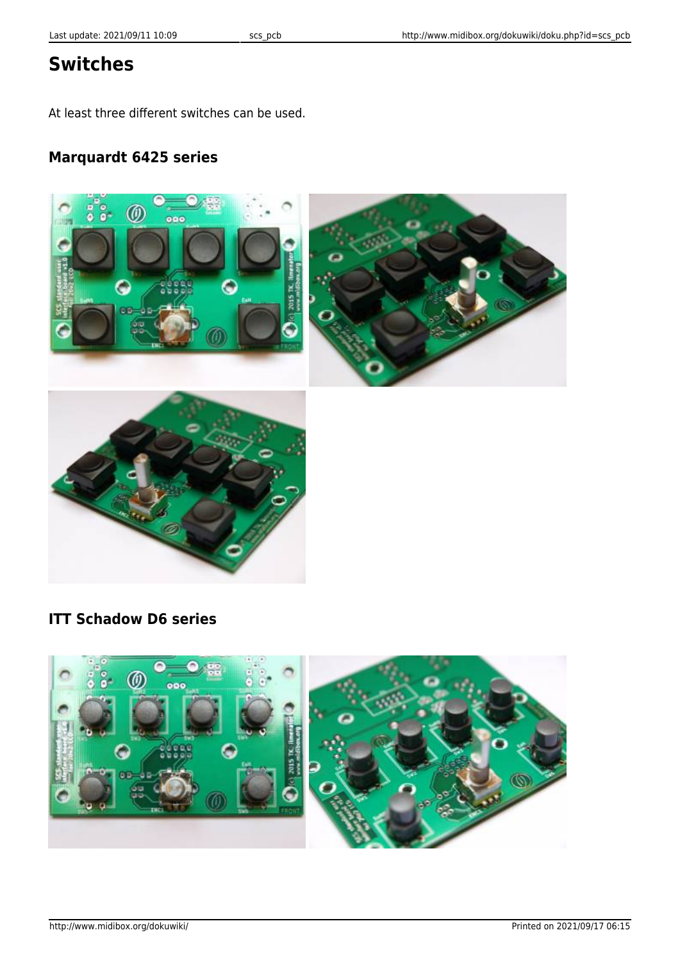## **Switches**

At least three different switches can be used.

#### **Marquardt 6425 series**



#### **ITT Schadow D6 series**

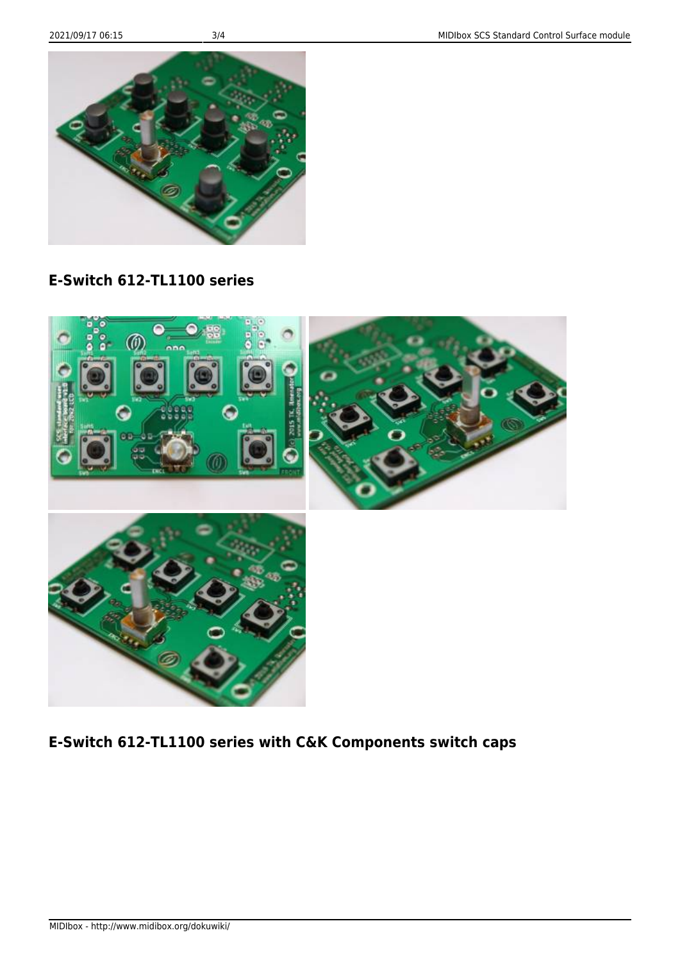MIDIbox - http://www.midibox.org/dokuwiki/



**E-Switch 612-TL1100 series with C&K Components switch caps**